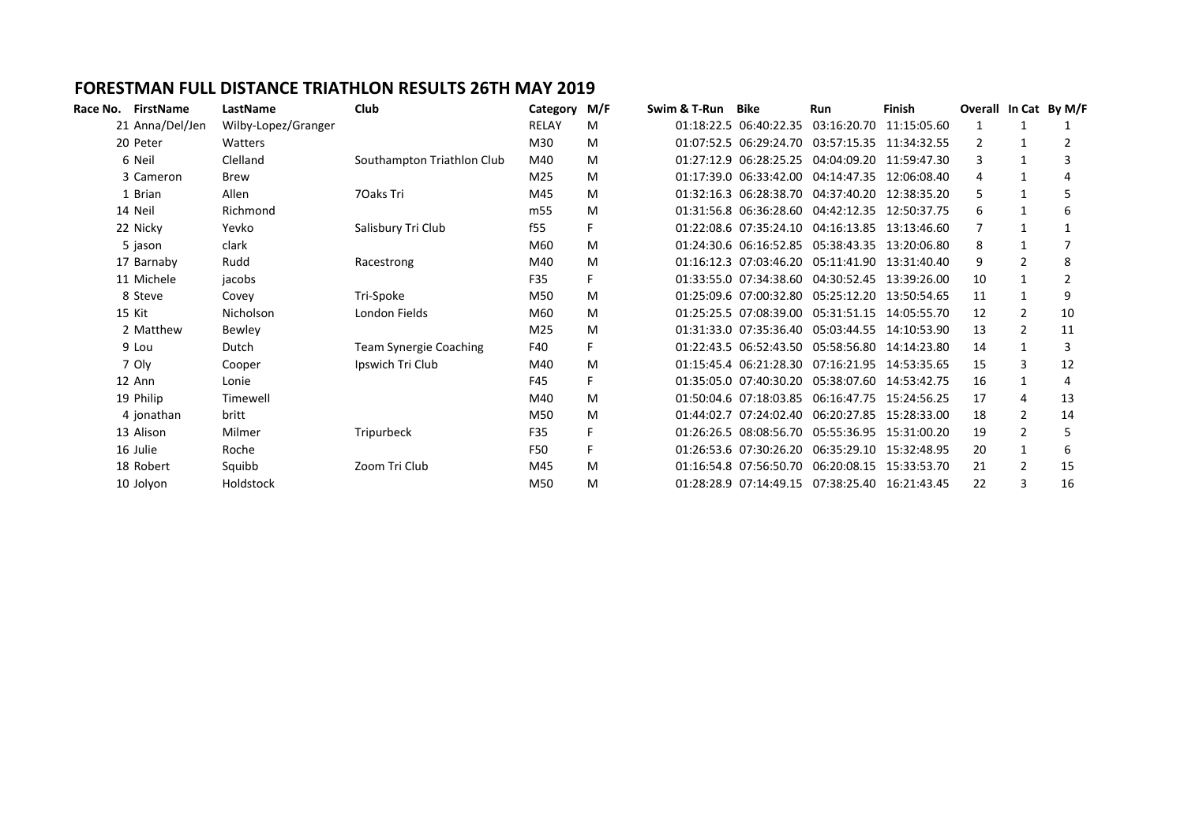## **FORESTMAN FULL DISTANCE TRIATHLON RESULTS 26TH MAY 2019**

| Race No. FirstName | LastName            | Club                          | Category M/F |    | Swim & T-Run | Bike                   | <b>Run</b>                                     | Finish      | Overall In Cat By M/F |                |    |
|--------------------|---------------------|-------------------------------|--------------|----|--------------|------------------------|------------------------------------------------|-------------|-----------------------|----------------|----|
| 21 Anna/Del/Jen    | Wilby-Lopez/Granger |                               | RELAY        | M  |              | 01:18:22.5 06:40:22.35 | 03:16:20.70                                    | 11:15:05.60 |                       |                |    |
| 20 Peter           | Watters             |                               | M30          | M  |              |                        | 01:07:52.5 06:29:24.70 03:57:15.35 11:34:32.55 |             |                       | 1              |    |
| 6 Neil             | Clelland            | Southampton Triathlon Club    | M40          | M  |              |                        | 01:27:12.9 06:28:25.25 04:04:09.20 11:59:47.30 |             |                       | 1              |    |
| 3 Cameron          | <b>Brew</b>         |                               | M25          | M  |              | 01:17:39.0 06:33:42.00 | 04:14:47.35 12:06:08.40                        |             |                       | $\mathbf{1}$   |    |
| 1 Brian            | Allen               | 70aks Tri                     | M45          | M  |              |                        | 01:32:16.3 06:28:38.70 04:37:40.20 12:38:35.20 |             |                       | 1              |    |
| 14 Neil            | Richmond            |                               | m55          | M  |              |                        | 01:31:56.8 06:36:28.60 04:42:12.35 12:50:37.75 |             | 6                     | $\mathbf{1}$   | 6  |
| 22 Nicky           | Yevko               | Salisbury Tri Club            | f55          | F. |              |                        | 01:22:08.6 07:35:24.10 04:16:13.85 13:13:46.60 |             |                       | $\mathbf{1}$   |    |
| 5 jason            | clark               |                               | M60          | M  |              |                        | 01:24:30.6 06:16:52.85 05:38:43.35 13:20:06.80 |             |                       |                |    |
| 17 Barnaby         | Rudd                | Racestrong                    | M40          | M  |              | 01:16:12.3 07:03:46.20 | 05:11:41.90 13:31:40.40                        |             | 9                     | $\overline{2}$ | 8  |
| 11 Michele         | jacobs              |                               | F35          | F. |              |                        | 01:33:55.0 07:34:38.60 04:30:52.45 13:39:26.00 |             | 10                    | 1              |    |
| 8 Steve            | Covey               | Tri-Spoke                     | M50          | M  |              | 01:25:09.6 07:00:32.80 | 05:25:12.20 13:50:54.65                        |             | 11                    | $\mathbf{1}$   | q  |
| 15 Kit             | <b>Nicholson</b>    | London Fields                 | M60          | M  |              |                        | 01:25:25.5 07:08:39.00 05:31:51.15 14:05:55.70 |             | 12                    | $\overline{2}$ | 10 |
| 2 Matthew          | Bewley              |                               | M25          | M  |              |                        | 01:31:33.0 07:35:36.40 05:03:44.55 14:10:53.90 |             | 13                    | $\overline{2}$ | 11 |
| 9 Lou              | Dutch               | <b>Team Synergie Coaching</b> | F40          | F. |              |                        | 01:22:43.5 06:52:43.50 05:58:56.80 14:14:23.80 |             | 14                    | $\mathbf{1}$   | 3  |
| 7 Oly              | Cooper              | Ipswich Tri Club              | M40          | M  |              |                        | 01:15:45.4 06:21:28.30 07:16:21.95 14:53:35.65 |             | 15                    | 3              | 12 |
| 12 Ann             | Lonie               |                               | F45          | F  |              | 01:35:05.0 07:40:30.20 | 05:38:07.60 14:53:42.75                        |             | 16                    | $\mathbf{1}$   | 4  |
| 19 Philip          | Timewell            |                               | M40          | M  |              |                        | 01:50:04.6 07:18:03.85 06:16:47.75 15:24:56.25 |             | 17                    | 4              | 13 |
| 4 jonathan         | britt               |                               | M50          | M  |              |                        | 01:44:02.7 07:24:02.40 06:20:27.85 15:28:33.00 |             | 18                    | $\overline{2}$ | 14 |
| 13 Alison          | Milmer              | Tripurbeck                    | F35          | F  |              | 01:26:26.5 08:08:56.70 | 05:55:36.95 15:31:00.20                        |             | 19                    | $\overline{2}$ | 5  |
| 16 Julie           | Roche               |                               | <b>F50</b>   | F. |              | 01:26:53.6 07:30:26.20 | 06:35:29.10 15:32:48.95                        |             | 20                    | 1              | 6  |
| 18 Robert          | Squibb              | Zoom Tri Club                 | M45          | M  |              | 01:16:54.8 07:56:50.70 | 06:20:08.15 15:33:53.70                        |             | 21                    | $\overline{2}$ | 15 |
| 10 Jolyon          | Holdstock           |                               | M50          | M  |              | 01:28:28.9 07:14:49.15 | 07:38:25.40                                    | 16:21:43.45 | 22                    | 3              | 16 |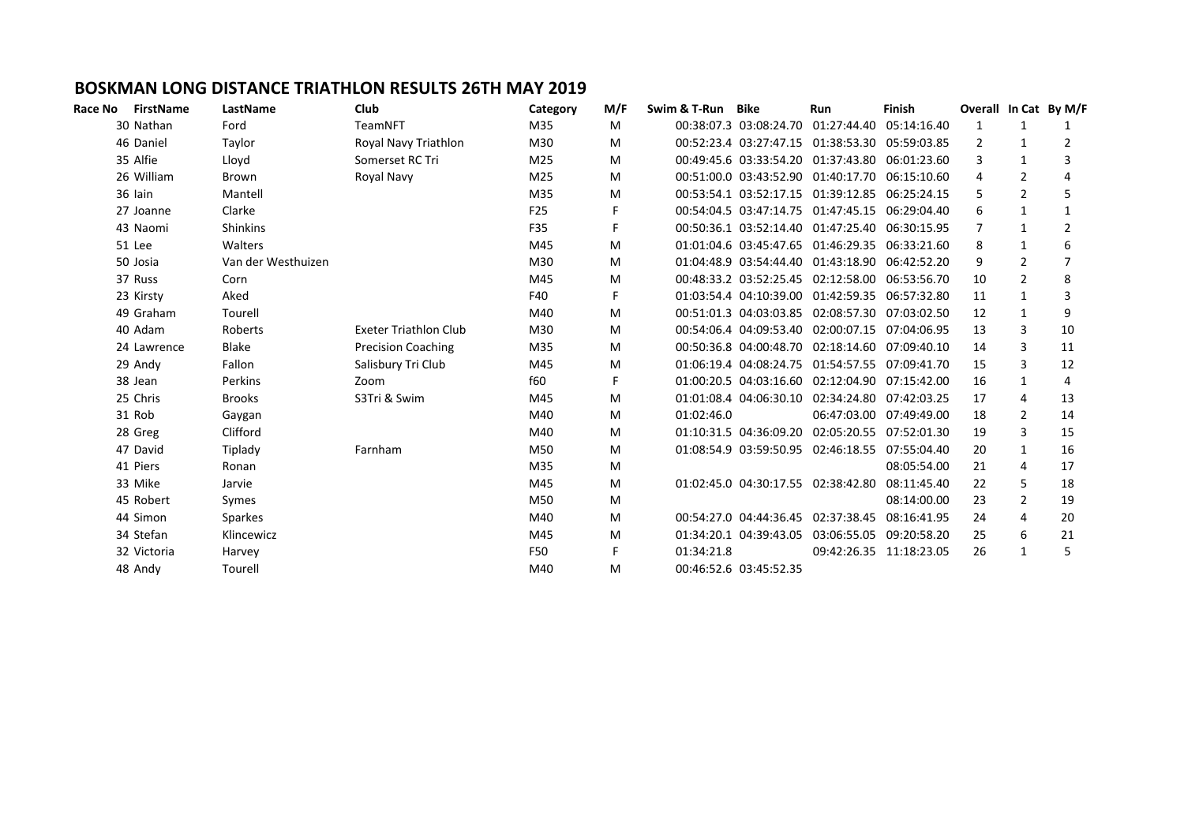## **BOSKMAN LONG DISTANCE TRIATHLON RESULTS 26TH MAY 2019**

| Race No | <b>FirstName</b> | LastName           | <b>Club</b>                  | Category | M/F | Swim & T-Run | Bike                   | <b>Run</b>                                     | <b>Finish</b>           |    |                | Overall In Cat By M/F |
|---------|------------------|--------------------|------------------------------|----------|-----|--------------|------------------------|------------------------------------------------|-------------------------|----|----------------|-----------------------|
|         | 30 Nathan        | Ford               | TeamNFT                      | M35      | M   |              |                        | 00:38:07.3 03:08:24.70 01:27:44.40 05:14:16.40 |                         | 1  | $\mathbf{1}$   |                       |
|         | 46 Daniel        | Taylor             | Royal Navy Triathlon         | M30      | M   |              |                        | 00:52:23.4 03:27:47.15 01:38:53.30 05:59:03.85 |                         | 2  | $\mathbf{1}$   | 2                     |
|         | 35 Alfie         | Lloyd              | Somerset RC Tri              | M25      | M   |              |                        | 00:49:45.6 03:33:54.20 01:37:43.80 06:01:23.60 |                         | 3  | $\mathbf{1}$   | 3                     |
|         | 26 William       | Brown              | Royal Navy                   | M25      | M   |              |                        | 00:51:00.0 03:43:52.90 01:40:17.70 06:15:10.60 |                         |    | $\mathcal{P}$  |                       |
|         | 36 lain          | Mantell            |                              | M35      | M   |              |                        | 00:53:54.1 03:52:17.15 01:39:12.85 06:25:24.15 |                         | 5. | $\overline{2}$ | 5                     |
|         | 27 Joanne        | Clarke             |                              | F25      |     |              |                        | 00:54:04.5 03:47:14.75 01:47:45.15 06:29:04.40 |                         | 6  | 1              |                       |
|         | 43 Naomi         | <b>Shinkins</b>    |                              | F35      |     |              |                        | 00:50:36.1 03:52:14.40 01:47:25.40 06:30:15.95 |                         |    | $\mathbf{1}$   | 2                     |
|         | 51 Lee           | Walters            |                              | M45      | M   |              |                        | 01:01:04.6 03:45:47.65 01:46:29.35 06:33:21.60 |                         | 8  | 1              | 6                     |
|         | 50 Josia         | Van der Westhuizen |                              | M30      | M   |              |                        | 01:04:48.9 03:54:44.40 01:43:18.90 06:42:52.20 |                         | 9  | $\overline{2}$ |                       |
|         | 37 Russ          | Corn               |                              | M45      | м   |              |                        | 00:48:33.2 03:52:25.45 02:12:58.00 06:53:56.70 |                         | 10 | $\overline{2}$ | 8                     |
|         | 23 Kirsty        | Aked               |                              | F40      | F   |              |                        | 01:03:54.4 04:10:39.00 01:42:59.35 06:57:32.80 |                         | 11 | 1              | 3                     |
|         | 49 Graham        | Tourell            |                              | M40      | M   |              |                        | 00:51:01.3 04:03:03.85 02:08:57.30 07:03:02.50 |                         | 12 | $\mathbf{1}$   | 9                     |
|         | 40 Adam          | Roberts            | <b>Exeter Triathlon Club</b> | M30      | M   |              |                        | 00:54:06.4 04:09:53.40 02:00:07.15 07:04:06.95 |                         | 13 | 3              | 10                    |
|         | 24 Lawrence      | <b>Blake</b>       | <b>Precision Coaching</b>    | M35      | M   |              |                        | 00:50:36.8 04:00:48.70 02:18:14.60 07:09:40.10 |                         | 14 | 3              | 11                    |
|         | 29 Andy          | Fallon             | Salisbury Tri Club           | M45      | M   |              |                        | 01:06:19.4 04:08:24.75 01:54:57.55 07:09:41.70 |                         | 15 | 3              | 12                    |
|         | 38 Jean          | Perkins            | Zoom                         | f60      | F   |              |                        | 01:00:20.5 04:03:16.60 02:12:04.90 07:15:42.00 |                         | 16 | 1              | 4                     |
|         | 25 Chris         | <b>Brooks</b>      | S3Tri & Swim                 | M45      | м   |              |                        | 01:01:08.4 04:06:30.10 02:34:24.80 07:42:03.25 |                         | 17 | 4              | 13                    |
|         | 31 Rob           | Gaygan             |                              | M40      | M   | 01:02:46.0   |                        |                                                | 06:47:03.00 07:49:49.00 | 18 | $\overline{2}$ | 14                    |
|         | 28 Greg          | Clifford           |                              | M40      | M   |              |                        | 01:10:31.5 04:36:09.20 02:05:20.55 07:52:01.30 |                         | 19 | 3              | 15                    |
|         | 47 David         | Tiplady            | Farnham                      | M50      | M   |              |                        | 01:08:54.9 03:59:50.95 02:46:18.55 07:55:04.40 |                         | 20 | 1              | 16                    |
|         | 41 Piers         | Ronan              |                              | M35      | M   |              |                        |                                                | 08:05:54.00             | 21 | 4              | 17                    |
|         | 33 Mike          | Jarvie             |                              | M45      | M   |              |                        | 01:02:45.0 04:30:17.55 02:38:42.80             | 08:11:45.40             | 22 | 5              | 18                    |
|         | 45 Robert        | Symes              |                              | M50      | M   |              |                        |                                                | 08:14:00.00             | 23 | $\overline{2}$ | 19                    |
|         | 44 Simon         | <b>Sparkes</b>     |                              | M40      | M   |              |                        | 00:54:27.0 04:44:36.45 02:37:38.45             | 08:16:41.95             | 24 | 4              | 20                    |
|         | 34 Stefan        | Klincewicz         |                              | M45      | M   |              |                        | 01:34:20.1 04:39:43.05 03:06:55.05 09:20:58.20 |                         | 25 | 6              | 21                    |
|         | 32 Victoria      | Harvey             |                              | F50      | F.  | 01:34:21.8   |                        |                                                | 09:42:26.35 11:18:23.05 | 26 | 1              | 5                     |
|         | 48 Andy          | Tourell            |                              | M40      | M   |              | 00:46:52.6 03:45:52.35 |                                                |                         |    |                |                       |
|         |                  |                    |                              |          |     |              |                        |                                                |                         |    |                |                       |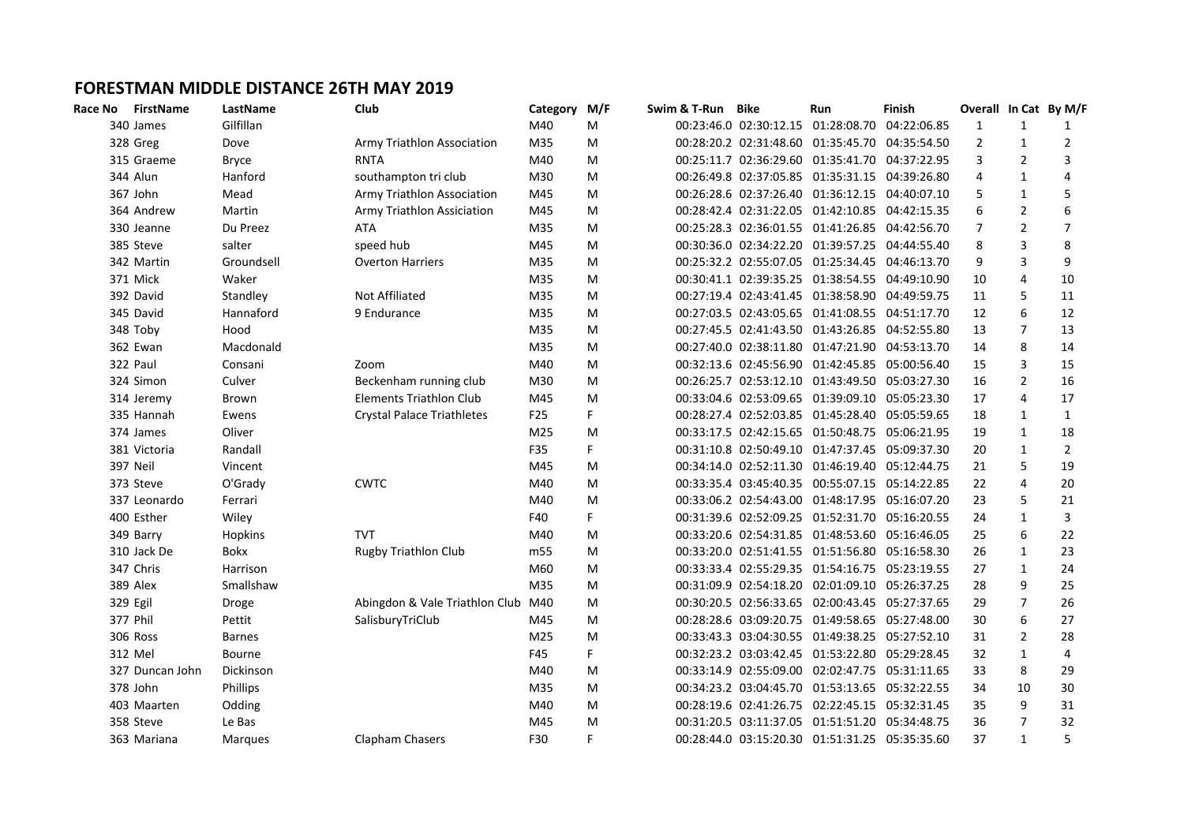## **FORESTMAN MIDDLE DISTANCE 26TH MAY 2019**

| Race No | <b>FirstName</b> | LastName      | Club                              | Category        | M/F | Swim & T-Run | Bike | Run                                            | Finish |                |                         | Overall In Cat By M/F |
|---------|------------------|---------------|-----------------------------------|-----------------|-----|--------------|------|------------------------------------------------|--------|----------------|-------------------------|-----------------------|
|         | 340 James        | Gilfillan     |                                   | M40             | M   |              |      | 00:23:46.0 02:30:12.15 01:28:08.70 04:22:06.85 |        | 1              | $\mathbf{1}$            | 1                     |
|         | 328 Greg         | Dove          | Army Triathlon Association        | M35             | M   |              |      | 00:28:20.2 02:31:48.60 01:35:45.70 04:35:54.50 |        | $\overline{2}$ | $\mathbf{1}$            | $\overline{2}$        |
|         | 315 Graeme       | <b>Bryce</b>  | <b>RNTA</b>                       | M40             | M   |              |      | 00:25:11.7 02:36:29.60 01:35:41.70 04:37:22.95 |        | 3              | $\overline{2}$          | 3                     |
|         | 344 Alun         | Hanford       | southampton tri club              | M30             | M   |              |      | 00:26:49.8 02:37:05.85 01:35:31.15 04:39:26.80 |        | 4              | $\mathbf{1}$            | 4                     |
|         | 367 John         | Mead          | Army Triathlon Association        | M45             | M   |              |      | 00:26:28.6 02:37:26.40 01:36:12.15 04:40:07.10 |        | 5              | $\mathbf{1}$            | 5                     |
|         | 364 Andrew       | Martin        | Army Triathlon Assiciation        | M45             | M   |              |      | 00:28:42.4 02:31:22.05 01:42:10.85 04:42:15.35 |        | 6              | $\overline{2}$          | 6                     |
|         | 330 Jeanne       | Du Preez      | ATA                               | M35             | M   |              |      | 00:25:28.3 02:36:01.55 01:41:26.85 04:42:56.70 |        | 7              | $\overline{2}$          | $\overline{7}$        |
|         | 385 Steve        | salter        | speed hub                         | M45             | M   |              |      | 00:30:36.0 02:34:22.20 01:39:57.25 04:44:55.40 |        | 8              | 3                       | 8                     |
|         | 342 Martin       | Groundsell    | <b>Overton Harriers</b>           | M35             | M   |              |      | 00:25:32.2 02:55:07.05 01:25:34.45 04:46:13.70 |        | 9              | 3                       | 9                     |
|         | 371 Mick         | Waker         |                                   | M35             | M   |              |      | 00:30:41.1 02:39:35.25 01:38:54.55 04:49:10.90 |        | 10             | $\overline{4}$          | 10                    |
|         | 392 David        | Standley      | Not Affiliated                    | M35             | M   |              |      | 00:27:19.4 02:43:41.45 01:38:58.90 04:49:59.75 |        | 11             | 5                       | $11\,$                |
|         | 345 David        | Hannaford     | 9 Endurance                       | M35             | M   |              |      | 00:27:03.5 02:43:05.65 01:41:08.55 04:51:17.70 |        | 12             | 6                       | 12                    |
|         | 348 Toby         | Hood          |                                   | M35             | M   |              |      | 00:27:45.5 02:41:43.50 01:43:26.85 04:52:55.80 |        | 13             | $\overline{7}$          | 13                    |
|         | 362 Ewan         | Macdonald     |                                   | M35             | M   |              |      | 00:27:40.0 02:38:11.80 01:47:21.90 04:53:13.70 |        | 14             | 8                       | 14                    |
|         | 322 Paul         | Consani       | Zoom                              | M40             | M   |              |      | 00:32:13.6 02:45:56.90 01:42:45.85 05:00:56.40 |        | 15             | 3                       | 15                    |
|         | 324 Simon        | Culver        | Beckenham running club            | M30             | M   |              |      | 00:26:25.7 02:53:12.10 01:43:49.50 05:03:27.30 |        | 16             | $\overline{2}$          | 16                    |
|         | 314 Jeremy       | Brown         | Elements Triathlon Club           | M45             | M   |              |      | 00:33:04.6 02:53:09.65 01:39:09.10 05:05:23.30 |        | 17             | $\overline{4}$          | 17                    |
|         | 335 Hannah       | Ewens         | <b>Crystal Palace Triathletes</b> | F <sub>25</sub> | F   |              |      | 00:28:27.4 02:52:03.85 01:45:28.40 05:05:59.65 |        | 18             | $\mathbf{1}$            | $\mathbf{1}$          |
|         | 374 James        | Oliver        |                                   | M25             | M   |              |      | 00:33:17.5 02:42:15.65 01:50:48.75 05:06:21.95 |        | 19             | $\mathbf{1}$            | 18                    |
|         | 381 Victoria     | Randall       |                                   | F35             | F.  |              |      | 00:31:10.8 02:50:49.10 01:47:37.45 05:09:37.30 |        | 20             | $\mathbf{1}$            | $\overline{2}$        |
|         | <b>397 Neil</b>  | Vincent       |                                   | M45             | M   |              |      | 00:34:14.0 02:52:11.30 01:46:19.40 05:12:44.75 |        | 21             | 5                       | 19                    |
|         | 373 Steve        | O'Grady       | <b>CWTC</b>                       | M40             | M   |              |      | 00:33:35.4 03:45:40.35 00:55:07.15 05:14:22.85 |        | 22             | $\overline{\mathbf{4}}$ | 20                    |
|         | 337 Leonardo     | Ferrari       |                                   | M40             | M   |              |      | 00:33:06.2 02:54:43.00 01:48:17.95 05:16:07.20 |        | 23             | 5                       | 21                    |
|         | 400 Esther       | Wiley         |                                   | F40             | F.  |              |      | 00:31:39.6 02:52:09.25 01:52:31.70 05:16:20.55 |        | 24             | $\mathbf{1}$            | 3                     |
|         | 349 Barry        | Hopkins       | <b>TVT</b>                        | M40             | M   |              |      | 00:33:20.6 02:54:31.85 01:48:53.60 05:16:46.05 |        | 25             | 6                       | 22                    |
|         | 310 Jack De      | <b>Bokx</b>   | <b>Rugby Triathlon Club</b>       | m <sub>55</sub> | M   |              |      | 00:33:20.0 02:51:41.55 01:51:56.80 05:16:58.30 |        | 26             | $\mathbf{1}$            | 23                    |
|         | 347 Chris        | Harrison      |                                   | M60             | M   |              |      | 00:33:33.4 02:55:29.35 01:54:16.75 05:23:19.55 |        | 27             | $\mathbf{1}$            | 24                    |
|         | 389 Alex         | Smallshaw     |                                   | M35             | M   |              |      | 00:31:09.9 02:54:18.20 02:01:09.10 05:26:37.25 |        | 28             | 9                       | 25                    |
|         | 329 Egil         | Droge         | Abingdon & Vale Triathlon Club    | M40             | M   |              |      | 00:30:20.5 02:56:33.65 02:00:43.45 05:27:37.65 |        | 29             | $\overline{7}$          | 26                    |
|         | 377 Phil         | Pettit        | SalisburyTriClub                  | M45             | M   |              |      | 00:28:28.6 03:09:20.75 01:49:58.65 05:27:48.00 |        | 30             | 6                       | 27                    |
|         | 306 Ross         | <b>Barnes</b> |                                   | M25             | M   |              |      | 00:33:43.3 03:04:30.55 01:49:38.25 05:27:52.10 |        | 31             | $\overline{2}$          | 28                    |
|         | 312 Mel          | Bourne        |                                   | F45             | F   |              |      | 00:32:23.2 03:03:42.45 01:53:22.80 05:29:28.45 |        | 32             | $\mathbf{1}$            | $\overline{4}$        |
|         | 327 Duncan John  | Dickinson     |                                   | M40             | M   |              |      | 00:33:14.9 02:55:09.00 02:02:47.75 05:31:11.65 |        | 33             | 8                       | 29                    |
|         | 378 John         | Phillips      |                                   | M35             | M   |              |      | 00:34:23.2 03:04:45.70 01:53:13.65 05:32:22.55 |        | 34             | 10                      | 30                    |
|         | 403 Maarten      | Odding        |                                   | M40             | M   |              |      | 00:28:19.6 02:41:26.75 02:22:45.15 05:32:31.45 |        | 35             | 9                       | 31                    |
|         | 358 Steve        | Le Bas        |                                   | M45             | M   |              |      | 00:31:20.5 03:11:37.05 01:51:51.20 05:34:48.75 |        | 36             | $\overline{7}$          | 32                    |
|         | 363 Mariana      | Margues       | Clapham Chasers                   | F30             | F   |              |      | 00:28:44.0 03:15:20.30 01:51:31.25 05:35:35.60 |        | 37             | $\mathbf{1}$            | 5                     |
|         |                  |               |                                   |                 |     |              |      |                                                |        |                |                         |                       |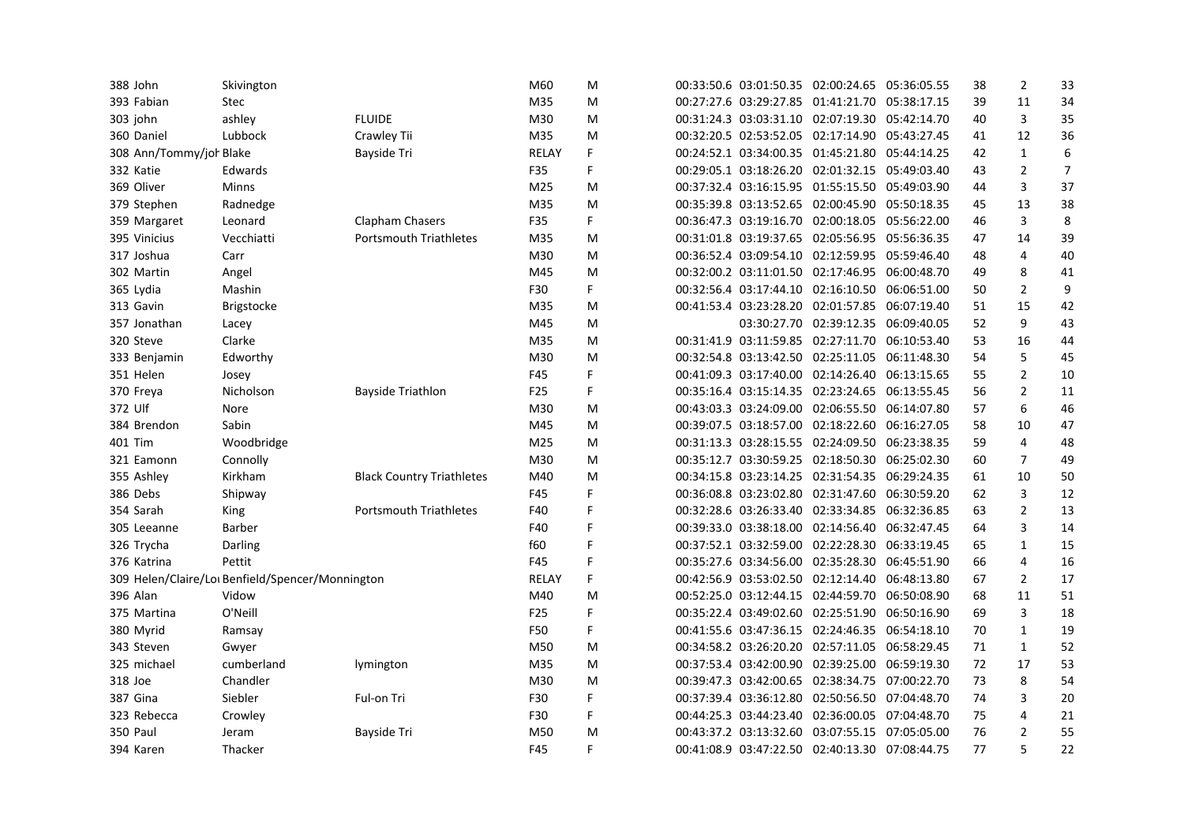| 388 John                | Skivington                                       |                                  | M60             | M |                        | 00:33:50.6 03:01:50.35 02:00:24.65 05:36:05.55 |             | 38 | $\overline{2}$ | 33             |
|-------------------------|--------------------------------------------------|----------------------------------|-----------------|---|------------------------|------------------------------------------------|-------------|----|----------------|----------------|
| 393 Fabian              | <b>Stec</b>                                      |                                  | M35             | м |                        | 00:27:27.6 03:29:27.85 01:41:21.70 05:38:17.15 |             | 39 | 11             | 34             |
| 303 john                | ashley                                           | <b>FLUIDE</b>                    | M30             | M |                        | 00:31:24.3 03:03:31.10 02:07:19.30 05:42:14.70 |             | 40 | 3              | 35             |
| 360 Daniel              | Lubbock                                          | Crawley Tii                      | M35             | M |                        | 00:32:20.5 02:53:52.05 02:17:14.90 05:43:27.45 |             | 41 | 12             | 36             |
| 308 Ann/Tommy/joh Blake |                                                  | Bayside Tri                      | <b>RELAY</b>    | F |                        | 00:24:52.1 03:34:00.35 01:45:21.80 05:44:14.25 |             | 42 | $\mathbf{1}$   | 6              |
| 332 Katie               | Edwards                                          |                                  | F35             | F |                        | 00:29:05.1 03:18:26.20 02:01:32.15 05:49:03.40 |             | 43 | $\overline{2}$ | $\overline{7}$ |
| 369 Oliver              | <b>Minns</b>                                     |                                  | M25             | M | 00:37:32.4 03:16:15.95 | 01:55:15.50 05:49:03.90                        |             | 44 | 3              | 37             |
| 379 Stephen             | Radnedge                                         |                                  | M35             | M |                        | 00:35:39.8 03:13:52.65 02:00:45.90 05:50:18.35 |             | 45 | 13             | 38             |
| 359 Margaret            | Leonard                                          | Clapham Chasers                  | F35             | F |                        | 00:36:47.3 03:19:16.70 02:00:18.05 05:56:22.00 |             | 46 | 3              | 8              |
| 395 Vinicius            | Vecchiatti                                       | <b>Portsmouth Triathletes</b>    | M35             | M |                        | 00:31:01.8 03:19:37.65 02:05:56.95 05:56:36.35 |             | 47 | 14             | 39             |
| 317 Joshua              | Carr                                             |                                  | M30             | M |                        | 00:36:52.4 03:09:54.10 02:12:59.95 05:59:46.40 |             | 48 | 4              | 40             |
| 302 Martin              | Angel                                            |                                  | M45             | M |                        | 00:32:00.2 03:11:01.50 02:17:46.95 06:00:48.70 |             | 49 | 8              | 41             |
| 365 Lydia               | Mashin                                           |                                  | F30             | F |                        | 00:32:56.4 03:17:44.10 02:16:10.50 06:06:51.00 |             | 50 | $\overline{2}$ | 9              |
| 313 Gavin               | Brigstocke                                       |                                  | M35             | M |                        | 00:41:53.4 03:23:28.20 02:01:57.85 06:07:19.40 |             | 51 | 15             | 42             |
| 357 Jonathan            | Lacey                                            |                                  | M45             | M |                        | 03:30:27.70 02:39:12.35 06:09:40.05            |             | 52 | 9              | 43             |
| 320 Steve               | Clarke                                           |                                  | M35             | M |                        | 00:31:41.9 03:11:59.85 02:27:11.70 06:10:53.40 |             | 53 | 16             | 44             |
| 333 Benjamin            | Edworthy                                         |                                  | M30             | M |                        | 00:32:54.8 03:13:42.50 02:25:11.05 06:11:48.30 |             | 54 | 5              | 45             |
| 351 Helen               | Josey                                            |                                  | F45             | F |                        | 00:41:09.3 03:17:40.00 02:14:26.40             | 06:13:15.65 | 55 | $\overline{2}$ | 10             |
| 370 Freya               | Nicholson                                        | <b>Bayside Triathlon</b>         | F <sub>25</sub> | F |                        | 00:35:16.4 03:15:14.35 02:23:24.65 06:13:55.45 |             | 56 | $\overline{2}$ | 11             |
| 372 Ulf                 | Nore                                             |                                  | M30             | M |                        | 00:43:03.3 03:24:09.00 02:06:55.50 06:14:07.80 |             | 57 | 6              | 46             |
| 384 Brendon             | Sabin                                            |                                  | M45             | M |                        | 00:39:07.5 03:18:57.00 02:18:22.60 06:16:27.05 |             | 58 | 10             | 47             |
| 401 Tim                 | Woodbridge                                       |                                  | M25             | M | 00:31:13.3 03:28:15.55 | 02:24:09.50 06:23:38.35                        |             | 59 | 4              | 48             |
| 321 Eamonn              | Connolly                                         |                                  | M30             | M |                        | 00:35:12.7 03:30:59.25 02:18:50.30 06:25:02.30 |             | 60 | $\overline{7}$ | 49             |
| 355 Ashley              | Kirkham                                          | <b>Black Country Triathletes</b> | M40             | M |                        | 00:34:15.8 03:23:14.25 02:31:54.35 06:29:24.35 |             | 61 | 10             | 50             |
| 386 Debs                | Shipway                                          |                                  | F45             | F |                        | 00:36:08.8 03:23:02.80 02:31:47.60 06:30:59.20 |             | 62 | 3              | 12             |
| 354 Sarah               | King                                             | <b>Portsmouth Triathletes</b>    | F40             | F |                        | 00:32:28.6 03:26:33.40 02:33:34.85 06:32:36.85 |             | 63 | $\overline{2}$ | 13             |
| 305 Leeanne             | Barber                                           |                                  | F40             | F |                        | 00:39:33.0 03:38:18.00 02:14:56.40 06:32:47.45 |             | 64 | 3              | 14             |
| 326 Trycha              | Darling                                          |                                  | f60             | F |                        | 00:37:52.1 03:32:59.00 02:22:28.30 06:33:19.45 |             | 65 | $\mathbf{1}$   | 15             |
| 376 Katrina             | Pettit                                           |                                  | F45             | F |                        | 00:35:27.6 03:34:56.00 02:35:28.30 06:45:51.90 |             | 66 | 4              | 16             |
|                         | 309 Helen/Claire/Lot Benfield/Spencer/Monnington |                                  | <b>RELAY</b>    | F |                        | 00:42:56.9 03:53:02.50 02:12:14.40 06:48:13.80 |             | 67 | $\overline{2}$ | 17             |
| 396 Alan                | Vidow                                            |                                  | M40             | M |                        | 00:52:25.0 03:12:44.15 02:44:59.70 06:50:08.90 |             | 68 | 11             | 51             |
| 375 Martina             | O'Neill                                          |                                  | F <sub>25</sub> | F |                        | 00:35:22.4 03:49:02.60 02:25:51.90             | 06:50:16.90 | 69 | $\overline{3}$ | 18             |
| 380 Myrid               | Ramsay                                           |                                  | F50             | F |                        | 00:41:55.6 03:47:36.15 02:24:46.35 06:54:18.10 |             | 70 | 1              | 19             |
| 343 Steven              | Gwyer                                            |                                  | M50             | M |                        | 00:34:58.2 03:26:20.20 02:57:11.05 06:58:29.45 |             | 71 | 1              | 52             |
| 325 michael             | cumberland                                       | lymington                        | M35             | M |                        | 00:37:53.4 03:42:00.90 02:39:25.00 06:59:19.30 |             | 72 | 17             | 53             |
| 318 Joe                 | Chandler                                         |                                  | M30             | M |                        | 00:39:47.3 03:42:00.65 02:38:34.75 07:00:22.70 |             | 73 | 8              | 54             |
| 387 Gina                | Siebler                                          | Ful-on Tri                       | F30             | F |                        | 00:37:39.4 03:36:12.80 02:50:56.50 07:04:48.70 |             | 74 | 3              | 20             |
| 323 Rebecca             | Crowley                                          |                                  | F30             | F |                        | 00:44:25.3 03:44:23.40 02:36:00.05 07:04:48.70 |             | 75 | 4              | 21             |
| <b>350 Paul</b>         | Jeram                                            | <b>Bayside Tri</b>               | M50             | M | 00:43:37.2 03:13:32.60 | 03:07:55.15 07:05:05.00                        |             | 76 | $\overline{2}$ | 55             |
| 394 Karen               | Thacker                                          |                                  | F45             | F |                        | 00:41:08.9 03:47:22.50 02:40:13.30 07:08:44.75 |             | 77 | 5              | 22             |